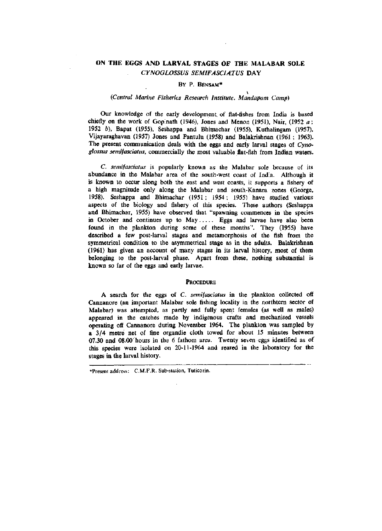# ON THE EGGS AND **LARVAL** STAGES OF THE MALABAR SOLE *CYNOGLOSSUS SEMIFASCIATUS* DAY

# BY P. BENSAM\*

### *(Central Marine Fisheries Research Institute, Mandapam Camp)*

Our knowledge of the early development, of flat-fishes from India is based chiefly on the work of Gopinath (1946), Jones and Menon (1951), Nair, (1952  $a$ ; 1952 *b).* Bapat (1955), Seshappa and Bhimachar (1955), Kuthalingam (1957), Vijayaraghavan (1957) Jones and Pantulu (1958) and Balakrishnan (1961 ; 1963). The present communication deals with the eggs and early larval stages of *Cynoglossus semifasciatus,* commercially the most valuable flat-fish from Indian waters.

*C. semifasciatus* is popularly known as the Malabar sole because of its abundance in the Malabar area of the south-west coast of India. Although it is known to occur along both the east and west coasts, it supports a fishery of a high magnitude only along the Malabar and south-Kanara zones (George, 1958). Seshappa and Bhimachar (1951: 1954; 1955) have studied various aspects of the biology and fishery of this species. These authors (Seshappa and Bhimachar, 1955) have observed that "spawning commences in the species in October and continues up to May ..... Eggs and larvae have also been found in the plankton during some of these months". They (1955) have described a few post-larval stages and metamorphosis of the fish from the symmetrical condition to the asymmetrical stage as in the adults. Balakrishnan (1961) has given an account of many stages in its larval history, most of them belonging to the post-larval phase. Apart from these, nothing substantial is known so far of the eggs and early larvae.

### **PROCEDURE**

A search for the eggs of C. *semifasciatus* in the plankton collected off Cannanore (an important Malabar sole fishing locality in the northtem sector of Malabar) was attempted, as partly and fully spent females (as well as males) appeared in the catches made by indigenous crafts and mechanised vessels operating off Cannanore during November 1964. The plankton was sampled by a 3/4 metre net of fine organdie cloth towed for about 15 minutes between 07.30 and 08.00'hours in the 6 fathom area. Twenty seven eggs identified as of this species were isolated on 20-11-1964 and reared in the laboratory for the stages in the larval history.

<sup>•</sup>Present address: C.M.F.R. Sub-slation, Tuticorin.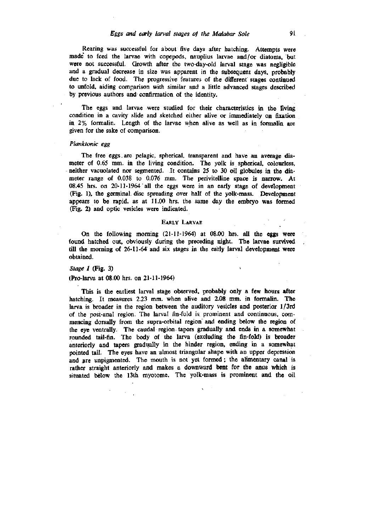Rearing was successful for about five days after hatching. Attempts were made' to feed the larvae with copepods, nauplius larvae and/or diatoms, but were not successful. Growth after the two-day-old larval stage was negligible and a gradual decrease in size was apparent in the subsequent days, probably due to lack of food. The progressive features of the different stages continued to unfold, aiding comparison with similar and a little advanced stages described by previous authors and confirmation of the identity.

The eggs and larvae were studied for their characteristics in the fiving condition in a cavity slide and sketched either alive or immediately on fixation in 2% formalin. Length of the larvae when alive as well as in formalin are given for the sake of comparison.

#### *Planktonic egg*

The free eggs.are pelagic, spherical, transparent and have an average diameter of 0.65 mm. in the living condition. The yolk is spherical, colourless, neither vacuolated nor segmented. It contains 25 to 30 oil globules in the diameter range of 0.038 to 0.076 mm. The perivitelline space is narrow. At 08.45 hrs. on 20-11-1964 all the eggs were in an early stage of development (Fig. 1), the germinal disc spreading over half of the yolk-mass. Development appears to be rapid, as at 11.00 hrs. the same day the embryo was formed (Fig. 2) and optic vesicles were indicated.

#### EARLY LARVAE

On the following morning (21-11-1964) at 08.00 hrs. all the eggs were found hatched out, obviously during the preceding night. The larvae survived till the morning of 26-11-64 and six stages in the early larval development were obtained.

*Stage I* (Fig. 3)

(Pro-larva at 08.00 hrs. on 21-11-1964)

This is the earliest larval stage observed, probably only a few hours after hatching. It measures 2.23 mm. when alive and 2.08 mm. in formalin. The larva is broader in the region between the auditory vesicles and posterior l/3rd of the post-anal region. The larval fin-fold is. prominent and continuous, commencing dorsally from the supra-orbital region'and ending below the region of the eye ventrally. The caudal region tapers gradually and ends in a somewhat rounded tail-fin. The body of the larva (excluding the fin-fold) is broader anteriorly and tapers gradually in the hinder region, ending in a somewhat pointed tail. The eyes have an almost triangular shape with an upper depression and are unpigmented. The mouth is not yet formed; the alimentary canal is rather straight anteriorly and makes a downward bent for the anus which is situated below the 13th myotome. The yolk-mass is prominent and the oil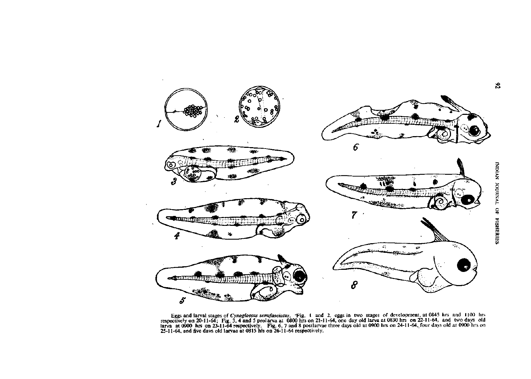

Eggs and larval stages of Cynoglossus sem/asciatus. 'Fig. 1 and 2. eggs in two stages of development, at 0845 hrs and 1100 hrs respectively on 20-11-64; Fig. 3, 4 and 5 prolarva at 0800 hrs on 21-11-64, one day old larva at 0830 hrs on 22-11-64, and two days old larva at 0900 hrs on 23-11-64 respectively. Fig. 6, 7 and 8 postlarvae three days old at 0900 hrs on 24-11-64, four days old at 0900 hrs on 25-11-64, and five davs old larvae at 0815 his on 26-11-64 respectively.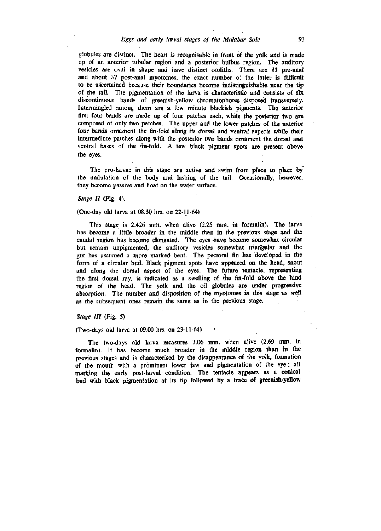# *Eggs and early larval stages of the Malabar Sole* 93

globules are distinct. The heart is recognisable in front of the yolk and is made up of an anterior tubular region and a posterior bulbus region. The auditory vesicles are oval in shape and have distinct otoliths. There are 13 pre-anal and about 37 post-anal myotomes, the exact number of the latter is difficult to be ascertained because their boundaries become indistinguishable near the tip of the tail. The pigmentation of the larva is characteristic and consists of six discontinuous bands of greenish-yellow chromatophores disposed transversely. Intermingled among them are a few minute blackish pigments. The anterior first four bands are made up of four patches each, while the posterior two are composed of only two patches. The upper and the lower patches of the anterior four bands ornament the fin-fold along its dorsal and ventral aspects while their intermediate patches along with the posterior two bands ornament the dorsal and ventral bases of the fin-fold. A few black pigment spots are present above the eyes.

The pro-larvae in this stage are active and swim from place to place by the undulation of the body and lashing of the tail. Occasionally, however, they become passive and float on the water surface.

## *Stage II* (Fig. 4).

### (One-day old larva at 08.30 hrs. on 22-11-64)

This stage is 2.426 mm. when alive (2.25 mm. in formalin). The larva has become a little broader in the middle than in the previous stage and the caudal region has become elongated. The eyes -have become somewhat circular but remain unpigmented, the auditory vesicles somewhat triangular and the gut has assumed a more marked bent. The pectoral fin has developed in the form of a circular bud. Black pigment spots have appeared on the head, snout and along the dorsal aspect of the eyes. The future tentacle, representing the first dorsal r^y, is indicated as a swelling of the fin-fold above the hind region of the head. The yolk and the oil globules are under progressive absorption. The number and disposition of the myotomes in this stage as well as the subsequent ones remain the same as in the previous stage.

### *Stage III* (Fig. 5)

### (Two-days old larva at 09.00 hrs. on 23-11-64)

The two-days old larva measures 3.06 mm. when alive (2.69 mm. in formalin). It has become much broader in the middle region than in the previous stages and is characterised by the disappearance of the yolk, formation of the mouth with a prominent lower jaw and pigmentation of the eye; all marking the early post-larval condition. The tentacle appears as a conical bud with black pigmentation at its tip followed by a trace of greenish-yellow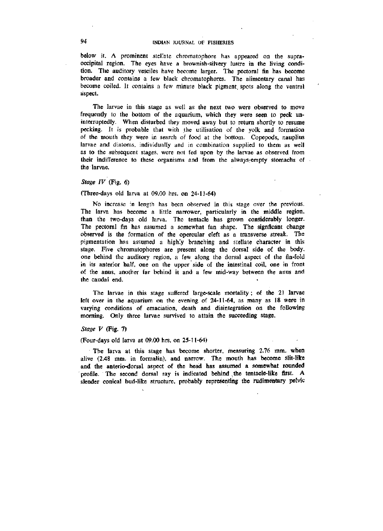below it. A prominent stellate chromatophore has appeared on the supraoccipital region. The eyes have a brownish-silvery lustre in the living condition. The auditory vesciles have become larger. The pectoral fin has become broader and contains a few black chromatophores. The alimentary canal has become coiled. It contains a few minute black pigment, spots along the ventral aspect.

The larvae in this stage as well as the next two were observed to move frequently to the bottom of the aquarium, which they were seen to peck uninterruptedly. When disturbed they moved away but to return shortly to resume pecking. It is probable that with the utilisation of the yolk and formation of the mouth they were in search of food at the bottom. Copepods, nauplius larvae and diatoms, individually and in combination supplied to them as well as to the subsequent stages, were not fed upon by the larvae as observed from their indifference to these organisms and from the always-empty stomachs of the larvae.

# *Stage IV* (Fig. 6)

### (Three-days old larva at 09.00 hrs. on 24-11-64)

No increase in length has been observed in this stage over the previous. The larva has become a httle narrower, particularly in the middle region, than the two-days old larva. The tentacle has grown considerably longer. The pectoral fin has assumed a somewhat fan shape. The signficant change observed is the formation of the opercular cleft as a transverse streak. The pigmentation has assumed a highly branching and stellate character in this stage. Five chromatophores are present along the dorsal side of the body, one behind the auditory region, a few along the dorsal aspect of the fin-fold in its anterior half, one on the upper side of the intestinal coil, one in front of the anus, another far behind it and a few mid-way between the anus and the caudal end.

The larvae in this stage suffered large-scale mortality; of the 21 larvae left over in the aquarium on the evening of 24-11-64, as many as 18 were in varying conditions of emaciation, death and disintegration on the following morning. Only three larvae survived to attain the succeeding stage.

## *Stage V* (Fig. 7)

### (Four-days old larva at 09.00 hrs, on 25-11-64)

The larva at this stage has become shorter, measuring 2.76 mm. when alive (2.48 mm. in formalin), and narrow. The mouth has become slit-like and the anterio-dorsal aspect of the head has assumed a somewhat rounded profile. The second dorsal ray is indicated behind the tentacle-like first. A slender conical bud-like structure, probably representing the rudimentary pelvic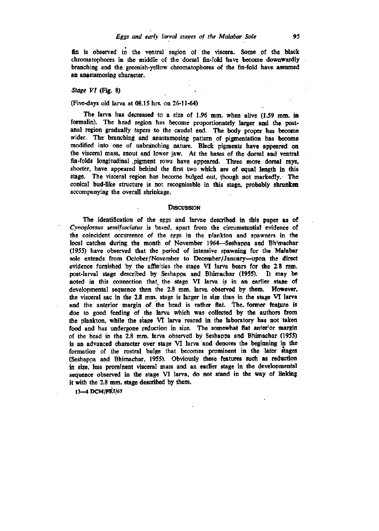fin is observed in the ventral region of the viscera. Some of the black chromatophores in the middle of the dorsal fin-fold have become downwardly branching and the greenish-yellow chromatophores of the fin-fold have assumed an anastamosing character.

### *Stage VI* (Fig. 8)

# (Five-days old larva at 08.15 hrs. on 26-11-64)

The larva has depreased to a size of 1.96 mm. when alive (1.59 mm. in formalin). The head region has become proportionately larger and the postanal region gradually tapers to the caudal end. The body proper has become wider. The branching and anastamosing pattern of pigmentation has become modified into one of unbranching nature. Black pigments have appeared on the visceral mass, snout and lower jaw. At the bases of the dorsal and ventral fin-folds longitudinal .pigment rows have appeared. Three more dorsal rays, shorter, have appeared behind the first two which are of equal length in this stage. The visceral region has become bulged out, though not markedly. The conical bud-like structure is not recognisable in this stage, probably shrunken accompanying the overall shrinkage.

### **DISCUSSION**

The identification of the eggs and larvae described in this paper as of *Cynoglossus semifasciatus* is based, apart from the circumstantial evidence of the coincident occurrence of the epgs in the plankton and spawners in the local catches during the month of November 1964—Seshappa and Bhimachar (1955) have observed that the period of intensive spawning for the Malabar sole extends from October/November to December/January—upon the direct evidence furnished by the affinities the stage VI larva bears for the 2.8 mm. post-larval stage described by Seshappa and Bhimachar (1955). It may be noted in this connection that the stage VI larva is in an earlier stage of developmental sequence than the 2.8 mm. larva observed by them. However, the visceral sac in the 2.8 mm. stage is larger in size.than in the stage VI larva and the anterior margin of the head is rather flat. The former feature is due to good feeding of the larva which was collected by the authors from the plankton, while the stage VI larva reared in the laboratory has not taken food and has undergone reduction in size. The somewhat flat anter'or margin of the head in the 2.8 mm. larva observed by Seshappa and Bhimachar (1955) is an advanced character over stage VI larva and denotes the beginning in the formation of the rostral bulge that becomes prominent in the later stages (Seshappa and Bhimachar, 1955). Obviously these features such as reduction in size, less prominent visceral mass and an earlier stage in the developmental sequence observed in the stage VI larva, do not stand in the way of Imking it with the 2.8 mm. stage described by them.

**13—4 DCM/FRI/67**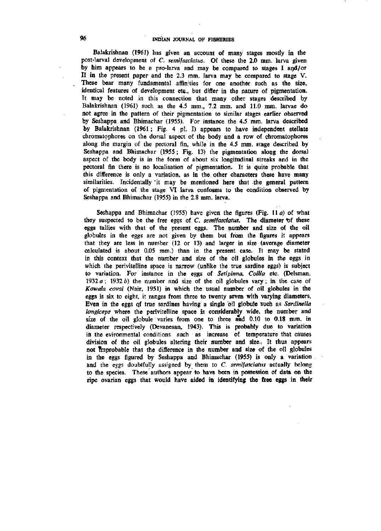Balakrishnan (1961) has given an account of many stages mostly in the post-larval development of *C. semifasciatus.* Of these the 2.0 mm. larva given by him appears to be a pro-larva and may be compared to stages I agd/or II in the present paper and the 2.3 mm. larva may be compared to stage V. These bear many fundamental affinities for one another such as the size, identical features of development etc., but differ in the nature of pigmentation. It may be noted in this connection that many other stages described by Balakrishnan (1961) such as the 4.5 mm., 7.2 mm. and 11.0 mm. larvae do not agree in the pattern of their pigmentation to similar stages earlier observed by Seshappa and Bhimachar (1955). For instance the 4.5 mm. larva described by Balakrishnan (1961 ; Fig. 4 pi. I) appears to have independent stellate chromatophores on the dorsal aspect of the body and a row of chromatophores along the margin of the pectoral fin, while in the 4.5 mm. stage described by Seshappa and Bhimachar (1955; Fig. 13) the pigmentation along the dorsal aspect of the body is in the form of about six longitudinal streaks and in the pectoral fin there is no localisation of pigmentation. It is quite probable that this difference is only a variation, as in the other characters these have many similarities. Incidentally 'it may be mentioned here that the general pattern of pigmentation of the stage VI larva confosms to the condition observed by Seshappa and Bhimachar (1955) in the 2.8 mm. larva.

Seshappa and Bhimachar (1955) have given the figures (Fig. 11 $a$ ) of what they suspected to be the free eggs of *C. semifasciatus.* The diameter *\\f* these eggs tallies with that of the present eggs. The number and size of the oil globules in the eggs are not given by them but from the figures it appears that they are less in number (12 or 13) and larger in size (average diameter calculated is about 0.05 mm.) than in the present case. It may be stated in this context that the number and size of the oil globules in the eggs in which the perivitelline space is narrow (unlike the true sardine eggs) is subject to variation. For instance in the eggs of *Setipinna, Coilia* etc. (Delsman, 1932 *a*; 1932 *b)* the number and size of the oil globules vary; in the case of *Kowala coval* (Nair, 1951) in which the usual number of oil globules in the eggs is six to eight, it ranges from three to twenty seven with varying diameters. Even in the eggs of true sardines having a single oil globule such as *Sardinella longiceps* where the perivitelline space is considerably wide, the number and size of the oil globule varies from one to three and 0.10 to 0.18 mm. in diameter respectively (Devanesan, 1943). This is probably due to variation in the evironmental conditions such as increase of temperature that causes division of the oil globules altering their number and size., It thus appears not improbable that the difference in the number and size of the oil globules in the eggs figured by Seshappa and Bhimachar (1955) is only a variation and the eggs doubtfully assigned by them to C *semifasciatus* actually belong to the species. These authors appear to have been in possession of data on the ripe ovarian eggs that would have **aided** in **identifying the free eggs** in **their**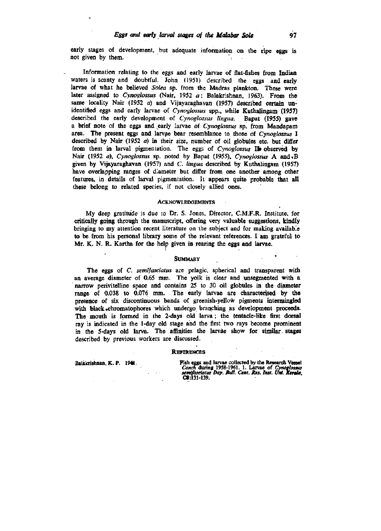early stages of development, but adequate information on the ripe eggs is not given by them.

Information relating to the eggs and early larvae of flat-fishes from Indian waters is scanty and doubtful. John (1951) described the eggs and early larvae of what he beheved *Solea* sp. from the Madras plankton. These were later assigned to *Cynoglossus* (Nair, 1952 *a;* Balakrishnan, 1963). From the same locality Nair (1952  $a$ ) and Vijayaraghavan (1957) described certain unidentified eggs and early larvae of *Cynoglossus* spp., while Kuthalingam (1957) described the early development of *Cynoglossus lingua.* Bapat (1955) gave a brief note of the eggs and^early larvae of *Cynoglossus* sp. from Mandapam area. The present eggs and larvae bear resemblance to those of *Cynoglossus* I described by Nair (1952 *a)* in their size, number of oil globules etc. but differ from them in larval pigmentation. The eggs of Cynoglossus II observed by Nair (1952 *a), Cynoglossus* sp. noted by Bapat (1955), *Cynoglossus* A and%B given by Vijayaraghavan (1957) and C. lingua described by Kuthalingam (1957) have overlapping ranges of diameter but differ from one another among other features, in details of larval pigmentation. It appears quite probable that all these belong to related species, if not closely allied ones.

#### ACKNOWLEDGEMENTS

My deep gratitude is due to Dr. S. Jones, Director, C.M.F.R. Institute, for critically going through the manuscript, offering very valuable suggestions, kindly bringing to my attention recent literature on the subject and for making available to be from bis personal library some of the relevant references. I am grateful to Mr. K. N. R. Kartha for the help given in rearing the eggs and larvae.

### **SUMMARY**

The eggs of C. *semifasciatus* are pelagic, spherical and transparent with an average diameter of 0.65 mm. The yolk is clear and unsegmented with a narrow perivitelline space and contains 25 to 30 oil globules in the diameter range of 0.038 to 0.076 mm. The early larvae are characterised by the presence of six discontinuous bands of greenish-yellow pigments intermingled with black chromatophores which undergo branching as development proceeds. The mouth is formed in the 2-days old larva; the tentacle-like first dorsal ray is indicated in the 1-day old stage and the first two rays become prominent in the 5-days old larva. The affinities the larvae show for similar stages described by previous workers are discussed.

#### **REFERENCES**

**Balakrishnan, K. P. 19« Fish eggs and larvae collected by the Researdi Vessel**  *Conch* **during 1958-1961. 1. Larvae of** *Cynoglossus sendfasciatus Day. Bull. Cent. Res. Inst. Unt. Kerala,*  **C8:131-139.**